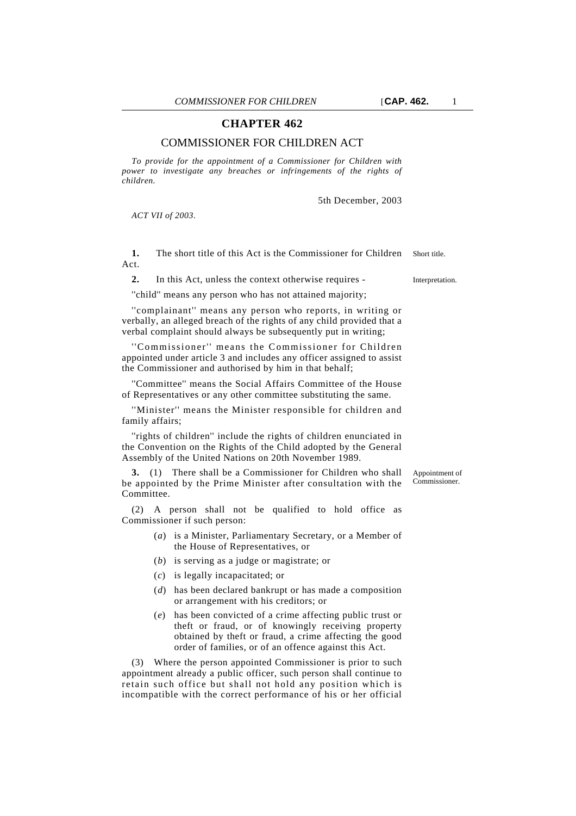## **CHAPTER 462**

## COMMISSIONER FOR CHILDREN ACT

*To provide for the appointment of a Commissioner for Children with power to investigate any breaches or infringements of the rights of children.*

5th December, 2003

*ACT VII of 2003.*

**1.** The short title of this Act is the Commissioner for Children Short title. Act.

2. In this Act, unless the context otherwise requires - Interpretation.

''child'' means any person who has not attained majority;

''complainant'' means any person who reports, in writing or verbally, an alleged breach of the rights of any child provided that a verbal complaint should always be subsequently put in writing;

''Commissioner'' means the Commissioner for Children appointed under article 3 and includes any officer assigned to assist the Commissioner and authorised by him in that behalf;

''Committee'' means the Social Affairs Committee of the House of Representatives or any other committee substituting the same.

''Minister'' means the Minister responsible for children and family affairs;

''rights of children'' include the rights of children enunciated in the Convention on the Rights of the Child adopted by the General Assembly of the United Nations on 20th November 1989.

**3.** (1) There shall be a Commissioner for Children who shall be appointed by the Prime Minister after consultation with the Committee.

(2) A person shall not be qualified to hold office as Commissioner if such person:

- (*a*) is a Minister, Parliamentary Secretary, or a Member of the House of Representatives, or
- (*b*) is serving as a judge or magistrate; or
- (*c*) is legally incapacitated; or
- (*d*) has been declared bankrupt or has made a composition or arrangement with his creditors; or
- (*e*) has been convicted of a crime affecting public trust or theft or fraud, or of knowingly receiving property obtained by theft or fraud, a crime affecting the good order of families, or of an offence against this Act.

(3) Where the person appointed Commissioner is prior to such appointment already a public officer, such person shall continue to retain such office but shall not hold any position which is incompatible with the correct performance of his or her official

Appointment of Commissioner.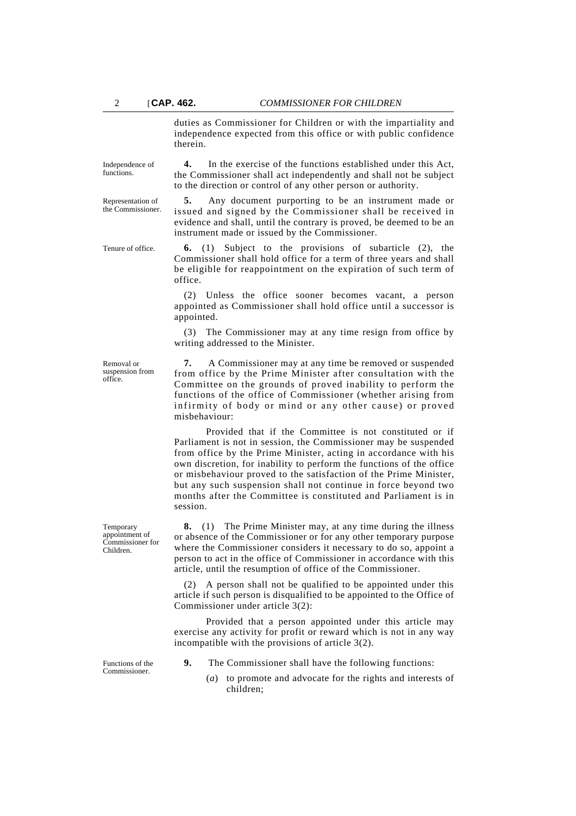duties as Commissioner for Children or with the impartiality and independence expected from this office or with public confidence therein.

**4.** In the exercise of the functions established under this Act, the Commissioner shall act independently and shall not be subject

**5.** Any document purporting to be an instrument made or issued and signed by the Commissioner shall be received in

to the direction or control of any other person or authority.

Independence of functions.

Representation of the Commissioner.

> evidence and shall, until the contrary is proved, be deemed to be an instrument made or issued by the Commissioner.

Tenure of office. **6.** (1) Subject to the provisions of subarticle (2), the Commissioner shall hold office for a term of three years and shall be eligible for reappointment on the expiration of such term of office.

> (2) Unless the office sooner becomes vacant, a person appointed as Commissioner shall hold office until a successor is appointed.

> (3) The Commissioner may at any time resign from office by writing addressed to the Minister.

**7.** A Commissioner may at any time be removed or suspended from office by the Prime Minister after consultation with the Committee on the grounds of proved inability to perform the functions of the office of Commissioner (whether arising from infirmity of body or mind or any other cause) or proved misbehaviour:

Provided that if the Committee is not constituted or if Parliament is not in session, the Commissioner may be suspended from office by the Prime Minister, acting in accordance with his own discretion, for inability to perform the functions of the office or misbehaviour proved to the satisfaction of the Prime Minister, but any such suspension shall not continue in force beyond two months after the Committee is constituted and Parliament is in session.

**8.** (1) The Prime Minister may, at any time during the illness or absence of the Commissioner or for any other temporary purpose where the Commissioner considers it necessary to do so, appoint a person to act in the office of Commissioner in accordance with this article, until the resumption of office of the Commissioner.

(2) A person shall not be qualified to be appointed under this article if such person is disqualified to be appointed to the Office of Commissioner under article 3(2):

Provided that a person appointed under this article may exercise any activity for profit or reward which is not in any way incompatible with the provisions of article 3(2).

Functions of the Commissioner.

- **9.** The Commissioner shall have the following functions:
	- (*a*) to promote and advocate for the rights and interests of children;

Removal or suspension from office.

Temporary appointment of Commissioner for Children.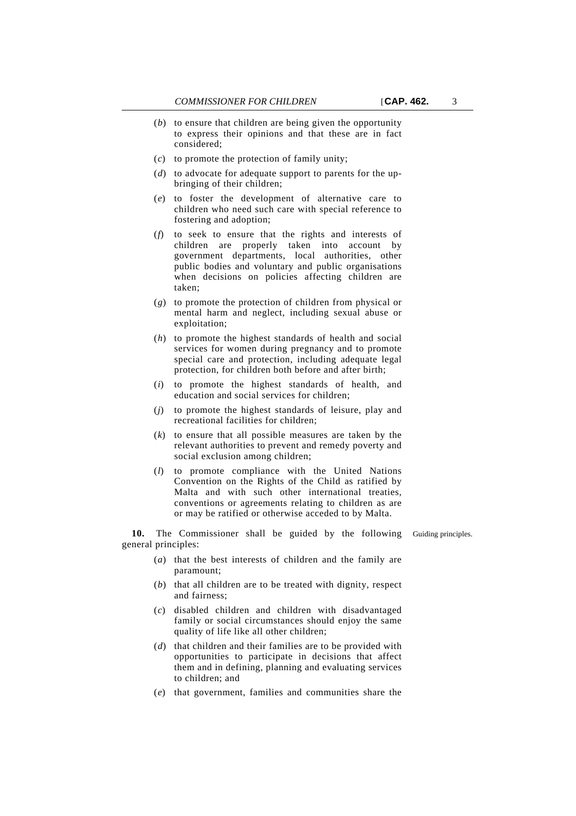- (*b*) to ensure that children are being given the opportunity to express their opinions and that these are in fact considered;
- (*c*) to promote the protection of family unity;
- (*d*) to advocate for adequate support to parents for the upbringing of their children;
- (*e*) to foster the development of alternative care to children who need such care with special reference to fostering and adoption;
- (*f*) to seek to ensure that the rights and interests of children are properly taken into account by government departments, local authorities, other public bodies and voluntary and public organisations when decisions on policies affecting children are taken;
- (*g*) to promote the protection of children from physical or mental harm and neglect, including sexual abuse or exploitation;
- (*h*) to promote the highest standards of health and social services for women during pregnancy and to promote special care and protection, including adequate legal protection, for children both before and after birth;
- (*i*) to promote the highest standards of health, and education and social services for children;
- (*j*) to promote the highest standards of leisure, play and recreational facilities for children;
- (*k*) to ensure that all possible measures are taken by the relevant authorities to prevent and remedy poverty and social exclusion among children;
- (*l*) to promote compliance with the United Nations Convention on the Rights of the Child as ratified by Malta and with such other international treaties, conventions or agreements relating to children as are or may be ratified or otherwise acceded to by Malta.

**10.** The Commissioner shall be guided by the following Guiding principles. general principles:

- (*a*) that the best interests of children and the family are paramount;
- (*b*) that all children are to be treated with dignity, respect and fairness;
- (*c*) disabled children and children with disadvantaged family or social circumstances should enjoy the same quality of life like all other children;
- (*d*) that children and their families are to be provided with opportunities to participate in decisions that affect them and in defining, planning and evaluating services to children; and
- (*e*) that government, families and communities share the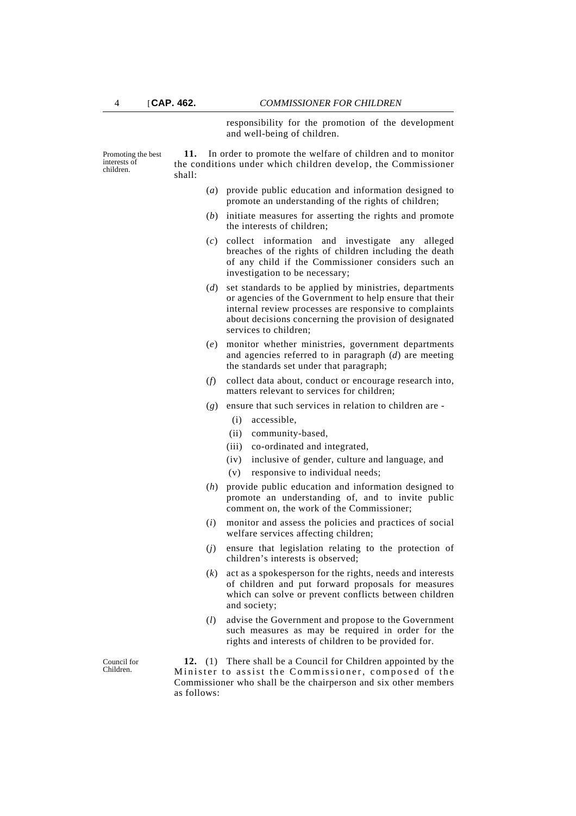responsibility for the promotion of the development and well-being of children.

Promoting the best interests of children.

**11.** In order to promote the welfare of children and to monitor the conditions under which children develop, the Commissioner shall:

- (*a*) provide public education and information designed to promote an understanding of the rights of children;
- (*b*) initiate measures for asserting the rights and promote the interests of children;
- (*c*) collect information and investigate any alleged breaches of the rights of children including the death of any child if the Commissioner considers such an investigation to be necessary;
- (*d*) set standards to be applied by ministries, departments or agencies of the Government to help ensure that their internal review processes are responsive to complaints about decisions concerning the provision of designated services to children;
- (*e*) monitor whether ministries, government departments and agencies referred to in paragraph (*d*) are meeting the standards set under that paragraph;
- (*f*) collect data about, conduct or encourage research into, matters relevant to services for children;
- (*g*) ensure that such services in relation to children are
	- (i) accessible,
	- (ii) community-based,
	- (iii) co-ordinated and integrated,
	- (iv) inclusive of gender, culture and language, and
	- (v) responsive to individual needs;
- (*h*) provide public education and information designed to promote an understanding of, and to invite public comment on, the work of the Commissioner;
- (*i*) monitor and assess the policies and practices of social welfare services affecting children;
- (*j*) ensure that legislation relating to the protection of children's interests is observed;
- (*k*) act as a spokesperson for the rights, needs and interests of children and put forward proposals for measures which can solve or prevent conflicts between children and society;
- (*l*) advise the Government and propose to the Government such measures as may be required in order for the rights and interests of children to be provided for.

**12.** (1) There shall be a Council for Children appointed by the Minister to assist the Commissioner, composed of the Commissioner who shall be the chairperson and six other members as follows:

Council for Children.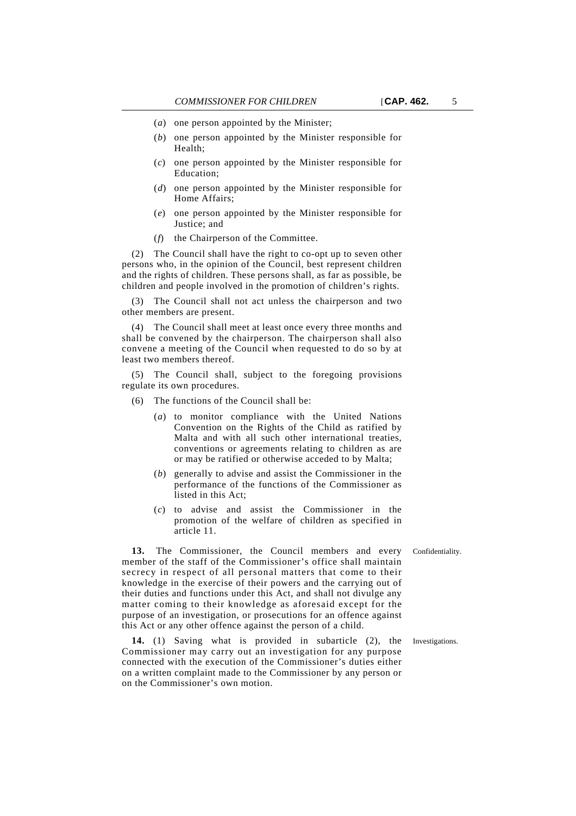- (*a*) one person appointed by the Minister;
- (*b*) one person appointed by the Minister responsible for Health;
- (*c*) one person appointed by the Minister responsible for Education;
- (*d*) one person appointed by the Minister responsible for Home Affairs;
- (*e*) one person appointed by the Minister responsible for Justice; and
- (*f*) the Chairperson of the Committee.

(2) The Council shall have the right to co-opt up to seven other persons who, in the opinion of the Council, best represent children and the rights of children. These persons shall, as far as possible, be children and people involved in the promotion of children's rights.

The Council shall not act unless the chairperson and two other members are present.

(4) The Council shall meet at least once every three months and shall be convened by the chairperson. The chairperson shall also convene a meeting of the Council when requested to do so by at least two members thereof.

(5) The Council shall, subject to the foregoing provisions regulate its own procedures.

- (6) The functions of the Council shall be:
	- (*a*) to monitor compliance with the United Nations Convention on the Rights of the Child as ratified by Malta and with all such other international treaties, conventions or agreements relating to children as are or may be ratified or otherwise acceded to by Malta;
	- (*b*) generally to advise and assist the Commissioner in the performance of the functions of the Commissioner as listed in this Act;
	- (*c*) to advise and assist the Commissioner in the promotion of the welfare of children as specified in article 11.

**13.** The Commissioner, the Council members and every Confidentiality. member of the staff of the Commissioner's office shall maintain secrecy in respect of all personal matters that come to their knowledge in the exercise of their powers and the carrying out of their duties and functions under this Act, and shall not divulge any matter coming to their knowledge as aforesaid except for the purpose of an investigation, or prosecutions for an offence against this Act or any other offence against the person of a child.

**14.** (1) Saving what is provided in subarticle (2), the Investigations. Commissioner may carry out an investigation for any purpose connected with the execution of the Commissioner's duties either on a written complaint made to the Commissioner by any person or on the Commissioner's own motion.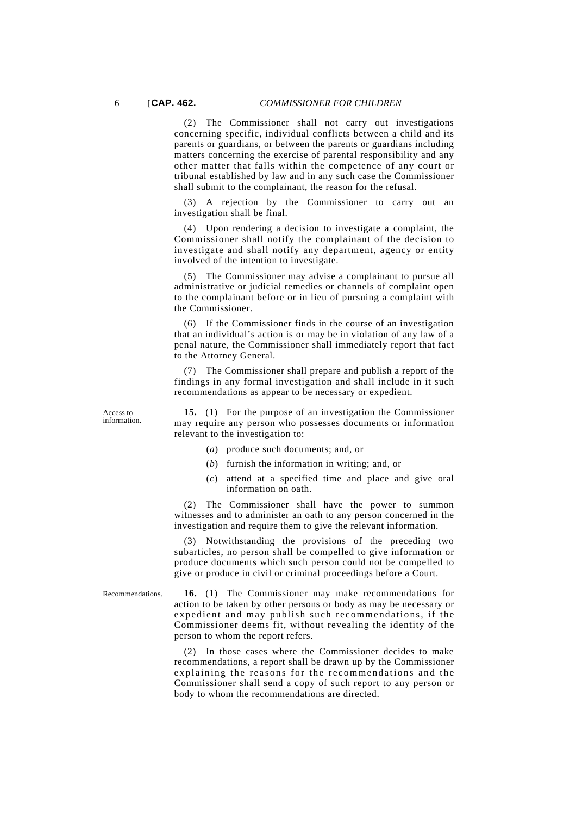(2) The Commissioner shall not carry out investigations concerning specific, individual conflicts between a child and its parents or guardians, or between the parents or guardians including matters concerning the exercise of parental responsibility and any other matter that falls within the competence of any court or tribunal established by law and in any such case the Commissioner shall submit to the complainant, the reason for the refusal.

(3) A rejection by the Commissioner to carry out an investigation shall be final.

(4) Upon rendering a decision to investigate a complaint, the Commissioner shall notify the complainant of the decision to investigate and shall notify any department, agency or entity involved of the intention to investigate.

(5) The Commissioner may advise a complainant to pursue all administrative or judicial remedies or channels of complaint open to the complainant before or in lieu of pursuing a complaint with the Commissioner.

(6) If the Commissioner finds in the course of an investigation that an individual's action is or may be in violation of any law of a penal nature, the Commissioner shall immediately report that fact to the Attorney General.

(7) The Commissioner shall prepare and publish a report of the findings in any formal investigation and shall include in it such recommendations as appear to be necessary or expedient.

Access to information.

**15.** (1) For the purpose of an investigation the Commissioner may require any person who possesses documents or information relevant to the investigation to:

- (*a*) produce such documents; and, or
- (*b*) furnish the information in writing; and, or
- (*c*) attend at a specified time and place and give oral information on oath.

(2) The Commissioner shall have the power to summon witnesses and to administer an oath to any person concerned in the investigation and require them to give the relevant information.

(3) Notwithstanding the provisions of the preceding two subarticles, no person shall be compelled to give information or produce documents which such person could not be compelled to give or produce in civil or criminal proceedings before a Court.

Recommendations. **16.** (1) The Commissioner may make recommendations for action to be taken by other persons or body as may be necessary or expedient and may publish such recommendations, if the Commissioner deems fit, without revealing the identity of the person to whom the report refers.

> (2) In those cases where the Commissioner decides to make recommendations, a report shall be drawn up by the Commissioner explaining the reasons for the recommendations and the Commissioner shall send a copy of such report to any person or body to whom the recommendations are directed.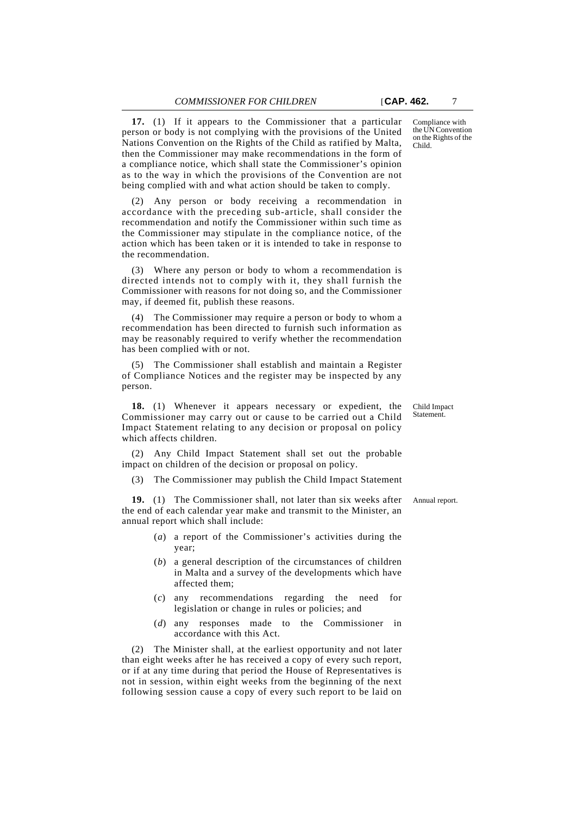**17.** (1) If it appears to the Commissioner that a particular person or body is not complying with the provisions of the United Nations Convention on the Rights of the Child as ratified by Malta, then the Commissioner may make recommendations in the form of a compliance notice, which shall state the Commissioner's opinion as to the way in which the provisions of the Convention are not being complied with and what action should be taken to comply.

(2) Any person or body receiving a recommendation in accordance with the preceding sub-article, shall consider the recommendation and notify the Commissioner within such time as the Commissioner may stipulate in the compliance notice, of the action which has been taken or it is intended to take in response to the recommendation.

(3) Where any person or body to whom a recommendation is directed intends not to comply with it, they shall furnish the Commissioner with reasons for not doing so, and the Commissioner may, if deemed fit, publish these reasons.

(4) The Commissioner may require a person or body to whom a recommendation has been directed to furnish such information as may be reasonably required to verify whether the recommendation has been complied with or not.

(5) The Commissioner shall establish and maintain a Register of Compliance Notices and the register may be inspected by any person.

**18.** (1) Whenever it appears necessary or expedient, the Commissioner may carry out or cause to be carried out a Child Impact Statement relating to any decision or proposal on policy which affects children.

(2) Any Child Impact Statement shall set out the probable impact on children of the decision or proposal on policy.

(3) The Commissioner may publish the Child Impact Statement

**19.** (1) The Commissioner shall, not later than six weeks after Annual report. the end of each calendar year make and transmit to the Minister, an annual report which shall include:

- (*a*) a report of the Commissioner's activities during the year;
- (*b*) a general description of the circumstances of children in Malta and a survey of the developments which have affected them;
- (*c*) any recommendations regarding the need for legislation or change in rules or policies; and
- (*d*) any responses made to the Commissioner in accordance with this Act.

(2) The Minister shall, at the earliest opportunity and not later than eight weeks after he has received a copy of every such report, or if at any time during that period the House of Representatives is not in session, within eight weeks from the beginning of the next following session cause a copy of every such report to be laid on

Child Impact Statement.

Compliance with the UN Convention on the Rights of the Child.